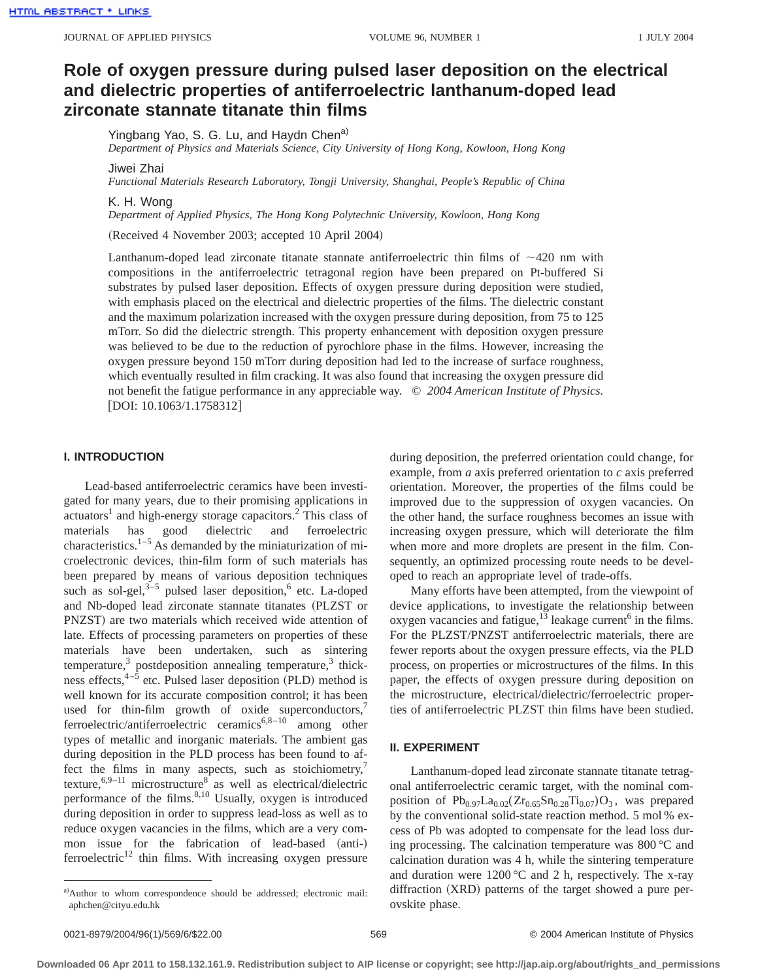# **Role of oxygen pressure during pulsed laser deposition on the electrical and dielectric properties of antiferroelectric lanthanum-doped lead zirconate stannate titanate thin films**

Yingbang Yao, S. G. Lu, and Haydn Chen<sup>a)</sup>

*Department of Physics and Materials Science, City University of Hong Kong, Kowloon, Hong Kong*

Jiwei Zhai

*Functional Materials Research Laboratory, Tongji University, Shanghai, People's Republic of China*

K. H. Wong

*Department of Applied Physics, The Hong Kong Polytechnic University, Kowloon, Hong Kong*

(Received 4 November 2003; accepted 10 April 2004)

Lanthanum-doped lead zirconate titanate stannate antiferroelectric thin films of  $\sim$ 420 nm with compositions in the antiferroelectric tetragonal region have been prepared on Pt-buffered Si substrates by pulsed laser deposition. Effects of oxygen pressure during deposition were studied, with emphasis placed on the electrical and dielectric properties of the films. The dielectric constant and the maximum polarization increased with the oxygen pressure during deposition, from 75 to 125 mTorr. So did the dielectric strength. This property enhancement with deposition oxygen pressure was believed to be due to the reduction of pyrochlore phase in the films. However, increasing the oxygen pressure beyond 150 mTorr during deposition had led to the increase of surface roughness, which eventually resulted in film cracking. It was also found that increasing the oxygen pressure did not benefit the fatigue performance in any appreciable way. © *2004 American Institute of Physics.*  $[$ DOI: 10.1063/1.1758312 $]$ 

## **I. INTRODUCTION**

Lead-based antiferroelectric ceramics have been investigated for many years, due to their promising applications in actuators<sup>1</sup> and high-energy storage capacitors.<sup>2</sup> This class of materials has good dielectric and ferroelectric characteristics. $1-5$  As demanded by the miniaturization of microelectronic devices, thin-film form of such materials has been prepared by means of various deposition techniques such as sol-gel, $3-5$  pulsed laser deposition,<sup>6</sup> etc. La-doped and Nb-doped lead zirconate stannate titanates (PLZST or PNZST) are two materials which received wide attention of late. Effects of processing parameters on properties of these materials have been undertaken, such as sintering temperature, $3$  postdeposition annealing temperature, $3$  thickness effects,  $4-\hat{5}$  etc. Pulsed laser deposition (PLD) method is well known for its accurate composition control; it has been used for thin-film growth of oxide superconductors, $<sup>7</sup>$ </sup> ferroelectric/antiferroelectric ceramics<sup>6,8–10</sup> among other types of metallic and inorganic materials. The ambient gas during deposition in the PLD process has been found to affect the films in many aspects, such as stoichiometry, $7$ texture,  $6.9-11$  microstructure<sup>8</sup> as well as electrical/dielectric performance of the films. $8,10$  Usually, oxygen is introduced during deposition in order to suppress lead-loss as well as to reduce oxygen vacancies in the films, which are a very common issue for the fabrication of lead-based (anti-)  $f$ erroelectric<sup>12</sup> thin films. With increasing oxygen pressure

during deposition, the preferred orientation could change, for example, from *a* axis preferred orientation to *c* axis preferred orientation. Moreover, the properties of the films could be improved due to the suppression of oxygen vacancies. On the other hand, the surface roughness becomes an issue with increasing oxygen pressure, which will deteriorate the film when more and more droplets are present in the film. Consequently, an optimized processing route needs to be developed to reach an appropriate level of trade-offs.

Many efforts have been attempted, from the viewpoint of device applications, to investigate the relationship between oxygen vacancies and fatigue, $1^{\overline{3}}$  leakage current<sup>6</sup> in the films. For the PLZST/PNZST antiferroelectric materials, there are fewer reports about the oxygen pressure effects, via the PLD process, on properties or microstructures of the films. In this paper, the effects of oxygen pressure during deposition on the microstructure, electrical/dielectric/ferroelectric properties of antiferroelectric PLZST thin films have been studied.

## **II. EXPERIMENT**

Lanthanum-doped lead zirconate stannate titanate tetragonal antiferroelectric ceramic target, with the nominal composition of  $Pb_{0.97}La_{0.02}(Zr_{0.65}Sn_{0.28}Ti_{0.07})O_3$ , was prepared by the conventional solid-state reaction method. 5 mol % excess of Pb was adopted to compensate for the lead loss during processing. The calcination temperature was 800 °C and calcination duration was 4 h, while the sintering temperature and duration were  $1200\degree C$  and 2 h, respectively. The x-ray diffraction (XRD) patterns of the target showed a pure perovskite phase.

a)Author to whom correspondence should be addressed; electronic mail: aphchen@cityu.edu.hk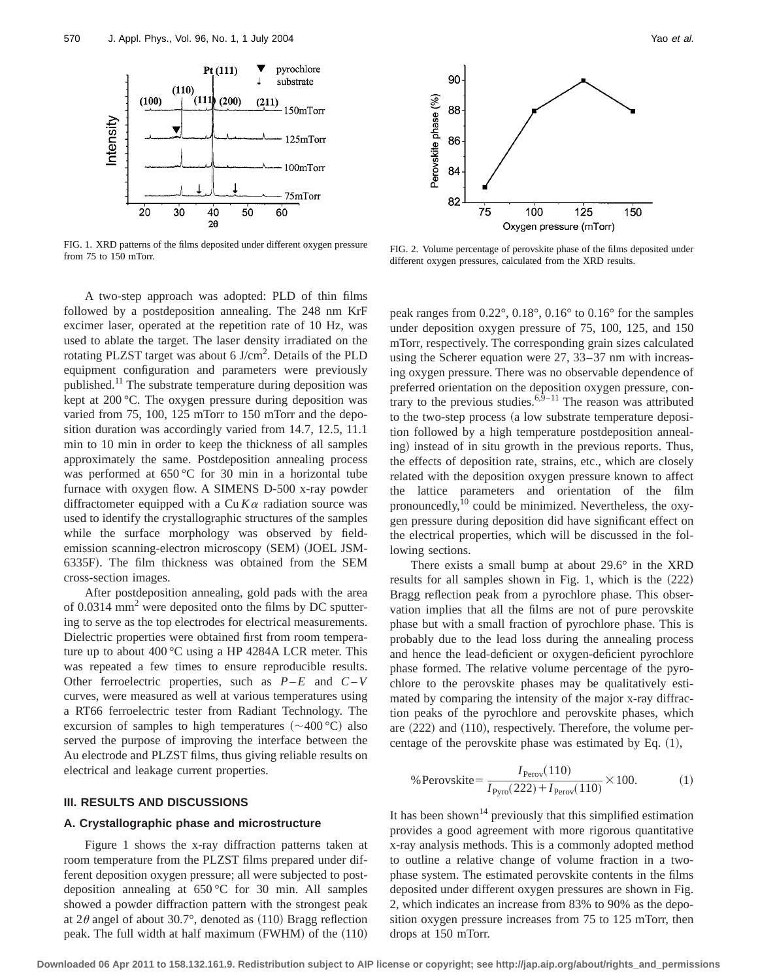

FIG. 1. XRD patterns of the films deposited under different oxygen pressure FIG. 1. ARD patterns of the films deposited under different oxygen pressure FIG. 2. Volume percentage of perovskite phase of the films deposited under from 75 to 150 mTorr.

A two-step approach was adopted: PLD of thin films followed by a postdeposition annealing. The 248 nm KrF excimer laser, operated at the repetition rate of 10 Hz, was used to ablate the target. The laser density irradiated on the rotating PLZST target was about 6 J/cm<sup>2</sup>. Details of the PLD equipment configuration and parameters were previously published.<sup>11</sup> The substrate temperature during deposition was kept at 200 °C. The oxygen pressure during deposition was varied from 75, 100, 125 mTorr to 150 mTorr and the deposition duration was accordingly varied from 14.7, 12.5, 11.1 min to 10 min in order to keep the thickness of all samples approximately the same. Postdeposition annealing process was performed at 650 °C for 30 min in a horizontal tube furnace with oxygen flow. A SIMENS D-500 x-ray powder diffractometer equipped with a  $Cu K\alpha$  radiation source was used to identify the crystallographic structures of the samples while the surface morphology was observed by fieldemission scanning-electron microscopy (SEM) (JOEL JSM-6335F). The film thickness was obtained from the SEM cross-section images.

After postdeposition annealing, gold pads with the area of  $0.0314$  mm<sup>2</sup> were deposited onto the films by DC sputtering to serve as the top electrodes for electrical measurements. Dielectric properties were obtained first from room temperature up to about 400 °C using a HP 4284A LCR meter. This was repeated a few times to ensure reproducible results. Other ferroelectric properties, such as *P*–*E* and *C*–*V* curves, were measured as well at various temperatures using a RT66 ferroelectric tester from Radiant Technology. The excursion of samples to high temperatures  $({\sim}400^{\circ}\text{C})$  also served the purpose of improving the interface between the Au electrode and PLZST films, thus giving reliable results on electrical and leakage current properties.

## **III. RESULTS AND DISCUSSIONS**

## **A. Crystallographic phase and microstructure**

Figure 1 shows the x-ray diffraction patterns taken at room temperature from the PLZST films prepared under different deposition oxygen pressure; all were subjected to postdeposition annealing at 650 °C for 30 min. All samples showed a powder diffraction pattern with the strongest peak at  $2\theta$  angel of about 30.7°, denoted as  $(110)$  Bragg reflection peak. The full width at half maximum  $(FWHM)$  of the  $(110)$ 



different oxygen pressures, calculated from the XRD results.

peak ranges from 0.22°, 0.18°, 0.16° to 0.16° for the samples under deposition oxygen pressure of 75, 100, 125, and 150 mTorr, respectively. The corresponding grain sizes calculated using the Scherer equation were 27, 33–37 nm with increasing oxygen pressure. There was no observable dependence of preferred orientation on the deposition oxygen pressure, contrary to the previous studies.<sup> $6,9-11$ </sup> The reason was attributed to the two-step process (a low substrate temperature deposition followed by a high temperature postdeposition annealing) instead of in situ growth in the previous reports. Thus, the effects of deposition rate, strains, etc., which are closely related with the deposition oxygen pressure known to affect the lattice parameters and orientation of the film pronouncedly, $10$  could be minimized. Nevertheless, the oxygen pressure during deposition did have significant effect on the electrical properties, which will be discussed in the following sections.

There exists a small bump at about 29.6° in the XRD results for all samples shown in Fig. 1, which is the  $(222)$ Bragg reflection peak from a pyrochlore phase. This observation implies that all the films are not of pure perovskite phase but with a small fraction of pyrochlore phase. This is probably due to the lead loss during the annealing process and hence the lead-deficient or oxygen-deficient pyrochlore phase formed. The relative volume percentage of the pyrochlore to the perovskite phases may be qualitatively estimated by comparing the intensity of the major x-ray diffraction peaks of the pyrochlore and perovskite phases, which are  $(222)$  and  $(110)$ , respectively. Therefore, the volume percentage of the perovskite phase was estimated by Eq.  $(1)$ ,

% Perovskite=
$$
\frac{I_{\text{Perov}}(110)}{I_{\text{Pyro}}(222) + I_{\text{Perov}}(110)} \times 100.
$$
 (1)

It has been shown<sup>14</sup> previously that this simplified estimation provides a good agreement with more rigorous quantitative x-ray analysis methods. This is a commonly adopted method to outline a relative change of volume fraction in a twophase system. The estimated perovskite contents in the films deposited under different oxygen pressures are shown in Fig. 2, which indicates an increase from 83% to 90% as the deposition oxygen pressure increases from 75 to 125 mTorr, then drops at 150 mTorr.

**Downloaded 06 Apr 2011 to 158.132.161.9. Redistribution subject to AIP license or copyright; see http://jap.aip.org/about/rights\_and\_permissions**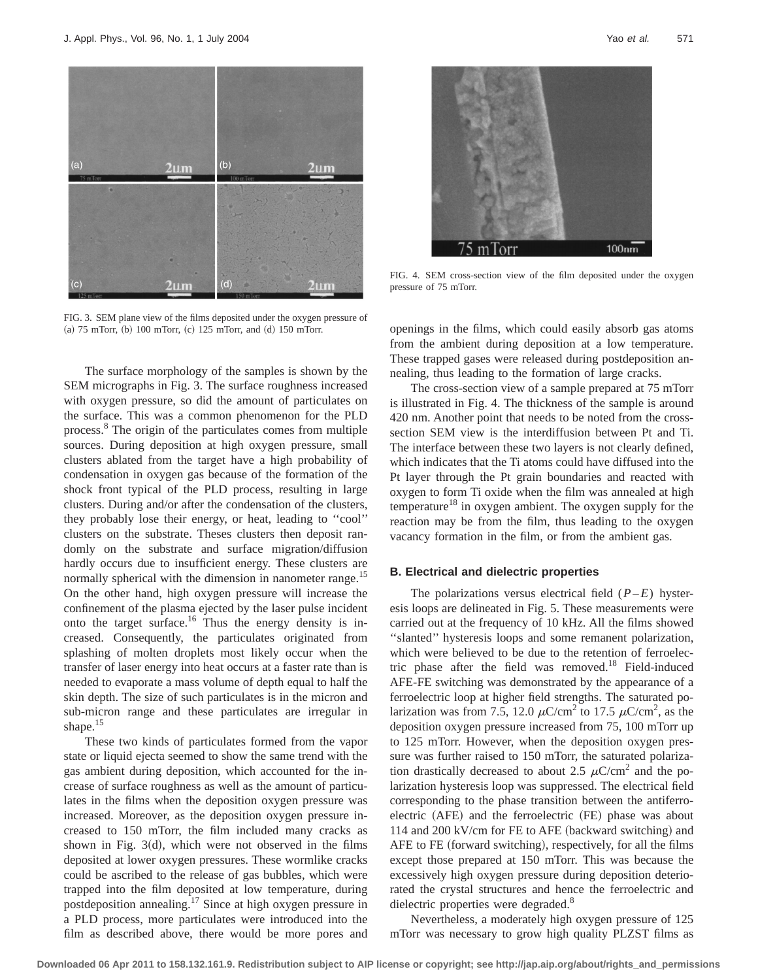

FIG. 3. SEM plane view of the films deposited under the oxygen pressure of (a)  $75$  mTorr, (b)  $100$  mTorr, (c)  $125$  mTorr, and (d)  $150$  mTorr.

The surface morphology of the samples is shown by the SEM micrographs in Fig. 3. The surface roughness increased with oxygen pressure, so did the amount of particulates on the surface. This was a common phenomenon for the PLD process.8 The origin of the particulates comes from multiple sources. During deposition at high oxygen pressure, small clusters ablated from the target have a high probability of condensation in oxygen gas because of the formation of the shock front typical of the PLD process, resulting in large clusters. During and/or after the condensation of the clusters, they probably lose their energy, or heat, leading to ''cool'' clusters on the substrate. Theses clusters then deposit randomly on the substrate and surface migration/diffusion hardly occurs due to insufficient energy. These clusters are normally spherical with the dimension in nanometer range.<sup>15</sup> On the other hand, high oxygen pressure will increase the confinement of the plasma ejected by the laser pulse incident onto the target surface.<sup>16</sup> Thus the energy density is increased. Consequently, the particulates originated from splashing of molten droplets most likely occur when the transfer of laser energy into heat occurs at a faster rate than is needed to evaporate a mass volume of depth equal to half the skin depth. The size of such particulates is in the micron and sub-micron range and these particulates are irregular in shape.<sup>15</sup>

These two kinds of particulates formed from the vapor state or liquid ejecta seemed to show the same trend with the gas ambient during deposition, which accounted for the increase of surface roughness as well as the amount of particulates in the films when the deposition oxygen pressure was increased. Moreover, as the deposition oxygen pressure increased to 150 mTorr, the film included many cracks as shown in Fig.  $3(d)$ , which were not observed in the films deposited at lower oxygen pressures. These wormlike cracks could be ascribed to the release of gas bubbles, which were trapped into the film deposited at low temperature, during postdeposition annealing.17 Since at high oxygen pressure in a PLD process, more particulates were introduced into the film as described above, there would be more pores and



FIG. 4. SEM cross-section view of the film deposited under the oxygen pressure of 75 mTorr.

openings in the films, which could easily absorb gas atoms from the ambient during deposition at a low temperature. These trapped gases were released during postdeposition annealing, thus leading to the formation of large cracks.

The cross-section view of a sample prepared at 75 mTorr is illustrated in Fig. 4. The thickness of the sample is around 420 nm. Another point that needs to be noted from the crosssection SEM view is the interdiffusion between Pt and Ti. The interface between these two layers is not clearly defined, which indicates that the Ti atoms could have diffused into the Pt layer through the Pt grain boundaries and reacted with oxygen to form Ti oxide when the film was annealed at high temperature<sup>18</sup> in oxygen ambient. The oxygen supply for the reaction may be from the film, thus leading to the oxygen vacancy formation in the film, or from the ambient gas.

## **B. Electrical and dielectric properties**

The polarizations versus electrical field (*P*–*E*) hysteresis loops are delineated in Fig. 5. These measurements were carried out at the frequency of 10 kHz. All the films showed ''slanted'' hysteresis loops and some remanent polarization, which were believed to be due to the retention of ferroelectric phase after the field was removed.<sup>18</sup> Field-induced AFE-FE switching was demonstrated by the appearance of a ferroelectric loop at higher field strengths. The saturated polarization was from 7.5, 12.0  $\mu$ C/cm<sup>2</sup> to 17.5  $\mu$ C/cm<sup>2</sup>, as the deposition oxygen pressure increased from 75, 100 mTorr up to 125 mTorr. However, when the deposition oxygen pressure was further raised to 150 mTorr, the saturated polarization drastically decreased to about 2.5  $\mu$ C/cm<sup>2</sup> and the polarization hysteresis loop was suppressed. The electrical field corresponding to the phase transition between the antiferroelectric (AFE) and the ferroelectric (FE) phase was about 114 and 200 kV/cm for FE to AFE (backward switching) and AFE to FE (forward switching), respectively, for all the films except those prepared at 150 mTorr. This was because the excessively high oxygen pressure during deposition deteriorated the crystal structures and hence the ferroelectric and dielectric properties were degraded.<sup>8</sup>

Nevertheless, a moderately high oxygen pressure of 125 mTorr was necessary to grow high quality PLZST films as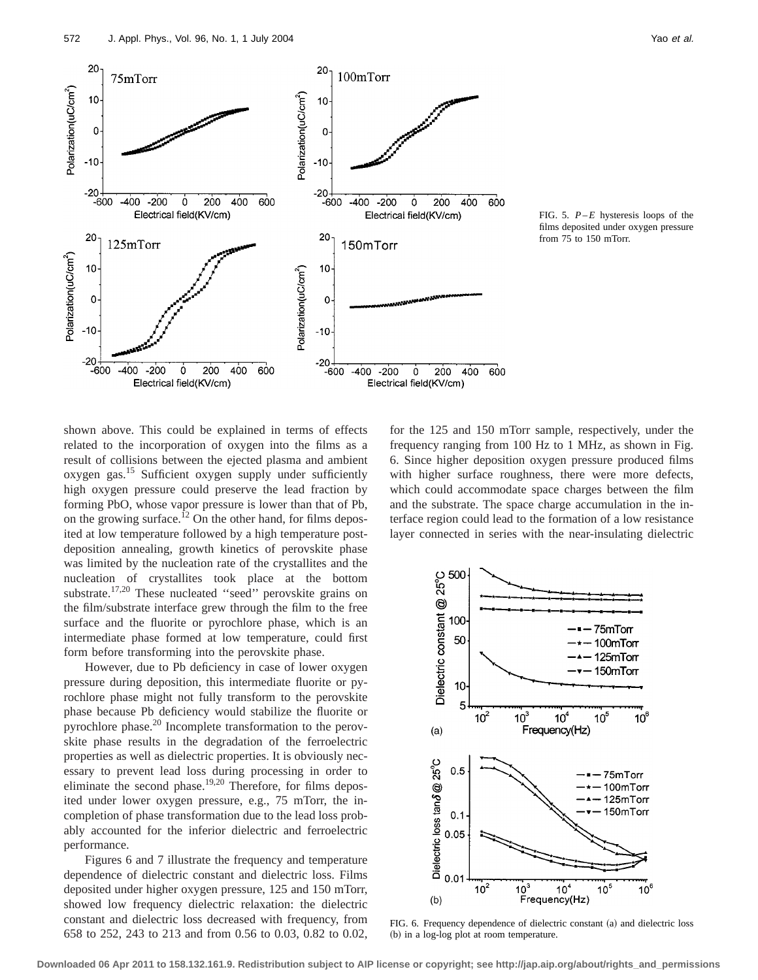

FIG. 5. *P*–*E* hysteresis loops of the films deposited under oxygen pressure from 75 to 150 mTorr.

shown above. This could be explained in terms of effects related to the incorporation of oxygen into the films as a result of collisions between the ejected plasma and ambient oxygen gas.<sup>15</sup> Sufficient oxygen supply under sufficiently high oxygen pressure could preserve the lead fraction by forming PbO, whose vapor pressure is lower than that of Pb, on the growing surface.<sup>12</sup> On the other hand, for films deposited at low temperature followed by a high temperature postdeposition annealing, growth kinetics of perovskite phase was limited by the nucleation rate of the crystallites and the nucleation of crystallites took place at the bottom substrate.<sup>17,20</sup> These nucleated "seed" perovskite grains on the film/substrate interface grew through the film to the free surface and the fluorite or pyrochlore phase, which is an intermediate phase formed at low temperature, could first form before transforming into the perovskite phase.

However, due to Pb deficiency in case of lower oxygen pressure during deposition, this intermediate fluorite or pyrochlore phase might not fully transform to the perovskite phase because Pb deficiency would stabilize the fluorite or pyrochlore phase.<sup>20</sup> Incomplete transformation to the perovskite phase results in the degradation of the ferroelectric properties as well as dielectric properties. It is obviously necessary to prevent lead loss during processing in order to eliminate the second phase.<sup>19,20</sup> Therefore, for films deposited under lower oxygen pressure, e.g., 75 mTorr, the incompletion of phase transformation due to the lead loss probably accounted for the inferior dielectric and ferroelectric performance.

Figures 6 and 7 illustrate the frequency and temperature dependence of dielectric constant and dielectric loss. Films deposited under higher oxygen pressure, 125 and 150 mTorr, showed low frequency dielectric relaxation: the dielectric constant and dielectric loss decreased with frequency, from 658 to 252, 243 to 213 and from 0.56 to 0.03, 0.82 to 0.02, for the 125 and 150 mTorr sample, respectively, under the frequency ranging from 100 Hz to 1 MHz, as shown in Fig. 6. Since higher deposition oxygen pressure produced films with higher surface roughness, there were more defects, which could accommodate space charges between the film and the substrate. The space charge accumulation in the interface region could lead to the formation of a low resistance layer connected in series with the near-insulating dielectric



FIG. 6. Frequency dependence of dielectric constant (a) and dielectric loss (b) in a log-log plot at room temperature.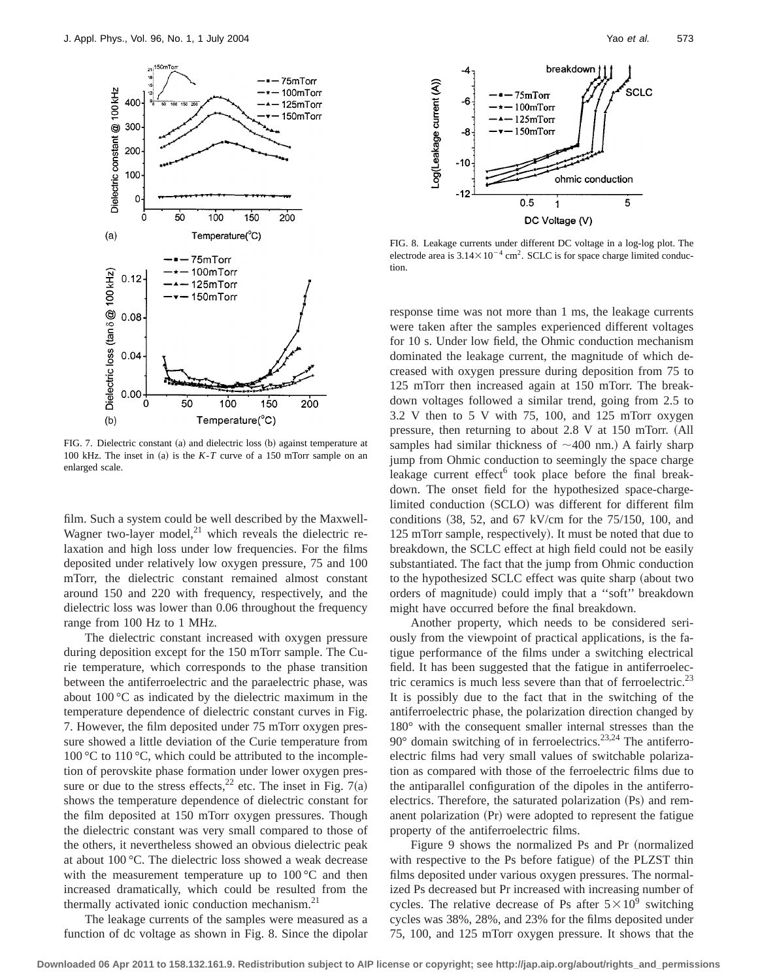

FIG. 7. Dielectric constant (a) and dielectric loss (b) against temperature at 100 kHz. The inset in (a) is the  $K - T$  curve of a 150 mTorr sample on an enlarged scale.

film. Such a system could be well described by the Maxwell-Wagner two-layer model, $^{21}$  which reveals the dielectric relaxation and high loss under low frequencies. For the films deposited under relatively low oxygen pressure, 75 and 100 mTorr, the dielectric constant remained almost constant around 150 and 220 with frequency, respectively, and the dielectric loss was lower than 0.06 throughout the frequency range from 100 Hz to 1 MHz.

The dielectric constant increased with oxygen pressure during deposition except for the 150 mTorr sample. The Curie temperature, which corresponds to the phase transition between the antiferroelectric and the paraelectric phase, was about 100 °C as indicated by the dielectric maximum in the temperature dependence of dielectric constant curves in Fig. 7. However, the film deposited under 75 mTorr oxygen pressure showed a little deviation of the Curie temperature from 100 °C to 110 °C, which could be attributed to the incompletion of perovskite phase formation under lower oxygen pressure or due to the stress effects,<sup>22</sup> etc. The inset in Fig. 7(a) shows the temperature dependence of dielectric constant for the film deposited at 150 mTorr oxygen pressures. Though the dielectric constant was very small compared to those of the others, it nevertheless showed an obvious dielectric peak at about 100 °C. The dielectric loss showed a weak decrease with the measurement temperature up to  $100\degree C$  and then increased dramatically, which could be resulted from the thermally activated ionic conduction mechanism.<sup>21</sup>

The leakage currents of the samples were measured as a function of dc voltage as shown in Fig. 8. Since the dipolar



FIG. 8. Leakage currents under different DC voltage in a log-log plot. The electrode area is  $3.14 \times 10^{-4}$  cm<sup>2</sup>. SCLC is for space charge limited conduction.

response time was not more than 1 ms, the leakage currents were taken after the samples experienced different voltages for 10 s. Under low field, the Ohmic conduction mechanism dominated the leakage current, the magnitude of which decreased with oxygen pressure during deposition from 75 to 125 mTorr then increased again at 150 mTorr. The breakdown voltages followed a similar trend, going from 2.5 to 3.2 V then to 5 V with 75, 100, and 125 mTorr oxygen pressure, then returning to about  $2.8$  V at  $150$  mTorr.  $(A)$ ll samples had similar thickness of  $\sim$ 400 nm.) A fairly sharp jump from Ohmic conduction to seemingly the space charge leakage current effect<sup>6</sup> took place before the final breakdown. The onset field for the hypothesized space-chargelimited conduction (SCLO) was different for different film conditions  $(38, 52,$  and  $67$  kV/cm for the 75/150, 100, and 125 mTorr sample, respectively). It must be noted that due to breakdown, the SCLC effect at high field could not be easily substantiated. The fact that the jump from Ohmic conduction to the hypothesized SCLC effect was quite sharp (about two orders of magnitude) could imply that a "soft" breakdown might have occurred before the final breakdown.

Another property, which needs to be considered seriously from the viewpoint of practical applications, is the fatigue performance of the films under a switching electrical field. It has been suggested that the fatigue in antiferroelectric ceramics is much less severe than that of ferroelectric.<sup>23</sup> It is possibly due to the fact that in the switching of the antiferroelectric phase, the polarization direction changed by 180° with the consequent smaller internal stresses than the  $90^\circ$  domain switching of in ferroelectrics.<sup>23,24</sup> The antiferroelectric films had very small values of switchable polarization as compared with those of the ferroelectric films due to the antiparallel configuration of the dipoles in the antiferroelectrics. Therefore, the saturated polarization (Ps) and remanent polarization  $(Pr)$  were adopted to represent the fatigue property of the antiferroelectric films.

Figure 9 shows the normalized Ps and Pr (normalized with respective to the Ps before fatigue) of the PLZST thin films deposited under various oxygen pressures. The normalized Ps decreased but Pr increased with increasing number of cycles. The relative decrease of Ps after  $5 \times 10^9$  switching cycles was 38%, 28%, and 23% for the films deposited under 75, 100, and 125 mTorr oxygen pressure. It shows that the